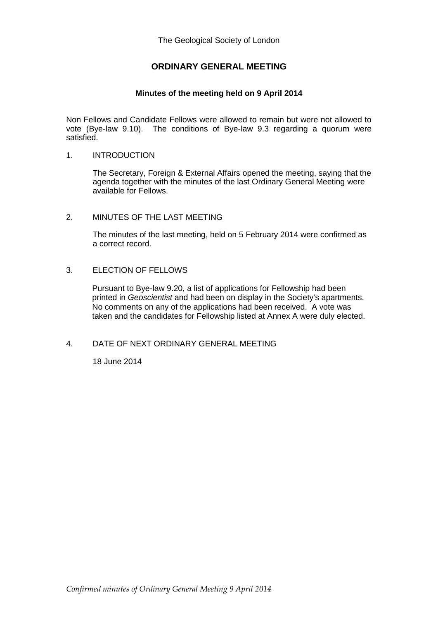The Geological Society of London

# **ORDINARY GENERAL MEETING**

#### **Minutes of the meeting held on 9 April 2014**

Non Fellows and Candidate Fellows were allowed to remain but were not allowed to vote (Bye-law 9.10). The conditions of Bye-law 9.3 regarding a quorum were satisfied.

#### 1. INTRODUCTION

The Secretary, Foreign & External Affairs opened the meeting, saying that the agenda together with the minutes of the last Ordinary General Meeting were available for Fellows.

#### 2. MINUTES OF THE LAST MEETING

The minutes of the last meeting, held on 5 February 2014 were confirmed as a correct record.

### 3. ELECTION OF FELLOWS

Pursuant to Bye-law 9.20, a list of applications for Fellowship had been printed in *Geoscientist* and had been on display in the Society's apartments. No comments on any of the applications had been received. A vote was taken and the candidates for Fellowship listed at Annex A were duly elected.

### 4. DATE OF NEXT ORDINARY GENERAL MEETING

18 June 2014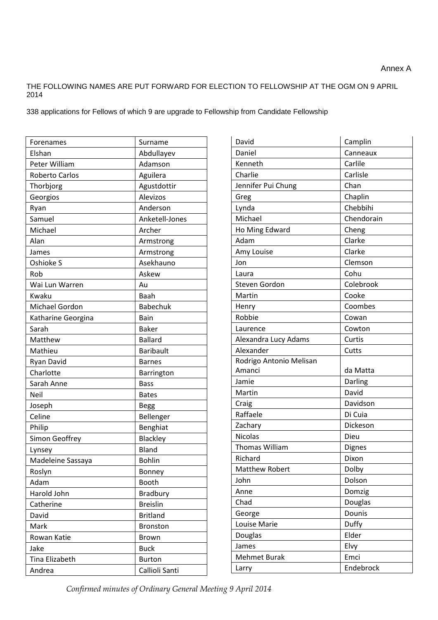## THE FOLLOWING NAMES ARE PUT FORWARD FOR ELECTION TO FELLOWSHIP AT THE OGM ON 9 APRIL 2014

338 applications for Fellows of which 9 are upgrade to Fellowship from Candidate Fellowship

| Forenames          | Surname          |
|--------------------|------------------|
| Elshan             | Abdullayev       |
| Peter William      | Adamson          |
| Roberto Carlos     | Aguilera         |
| Thorbjorg          | Agustdottir      |
| Georgios           | Alevizos         |
| Ryan               | Anderson         |
| Samuel             | Anketell-Jones   |
| Michael            | Archer           |
| Alan               | Armstrong        |
| James              | Armstrong        |
| Oshioke S          | Asekhauno        |
| Rob                | Askew            |
| Wai Lun Warren     | Au               |
| Kwaku              | Baah             |
| Michael Gordon     | <b>Babechuk</b>  |
| Katharine Georgina | Bain             |
| Sarah              | <b>Baker</b>     |
| Matthew            | <b>Ballard</b>   |
| Mathieu            | <b>Baribault</b> |
| Ryan David         | <b>Barnes</b>    |
| Charlotte          | Barrington       |
| Sarah Anne         | <b>Bass</b>      |
| Neil               | <b>Bates</b>     |
| Joseph             | <b>Begg</b>      |
| Celine             | Bellenger        |
| Philip             | Benghiat         |
| Simon Geoffrey     | Blackley         |
| Lynsey             | Bland            |
| Madeleine Sassaya  | <b>Bohlin</b>    |
| Roslyn             | Bonney           |
| Adam               | <b>Booth</b>     |
| Harold John        | Bradbury         |
| Catherine          | <b>Breislin</b>  |
| David              | <b>Britland</b>  |
| Mark               | <b>Bronston</b>  |
| Rowan Katie        | <b>Brown</b>     |
| Jake               | <b>Buck</b>      |
| Tina Elizabeth     | <b>Burton</b>    |
| Andrea             | Callioli Santi   |

| David                   | Camplin       |
|-------------------------|---------------|
| Daniel                  | Canneaux      |
| Kenneth                 | Carlile       |
| Charlie                 | Carlisle      |
| Jennifer Pui Chung      | Chan          |
| Greg                    | Chaplin       |
| Lynda                   | Chebbihi      |
| Michael                 | Chendorain    |
| Ho Ming Edward          | Cheng         |
| Adam                    | Clarke        |
| Amy Louise              | Clarke        |
| Jon                     | Clemson       |
| Laura                   | Cohu          |
| Steven Gordon           | Colebrook     |
| Martin                  | Cooke         |
| Henry                   | Coombes       |
| Robbie                  | Cowan         |
| Laurence                | Cowton        |
| Alexandra Lucy Adams    | Curtis        |
| Alexander               | Cutts         |
| Rodrigo Antonio Melisan |               |
| Amanci                  | da Matta      |
| Jamie                   | Darling       |
| Martin                  | David         |
| Craig                   | Davidson      |
| Raffaele                | Di Cuia       |
| Zachary                 | Dickeson      |
| <b>Nicolas</b>          | Dieu          |
| <b>Thomas William</b>   | <b>Dignes</b> |
| Richard                 | Dixon         |
| Matthew Robert          | Dolby         |
| John                    | Dolson        |
| Anne                    | Domzig        |
| Chad                    | Douglas       |
| George                  | Dounis        |
| Louise Marie            | Duffy         |
| Douglas                 | Elder         |
| James                   | Elvy          |
| <b>Mehmet Burak</b>     | Emci          |
| Larry                   | Endebrock     |

*Confirmed minutes of Ordinary General Meeting 9 April 2014*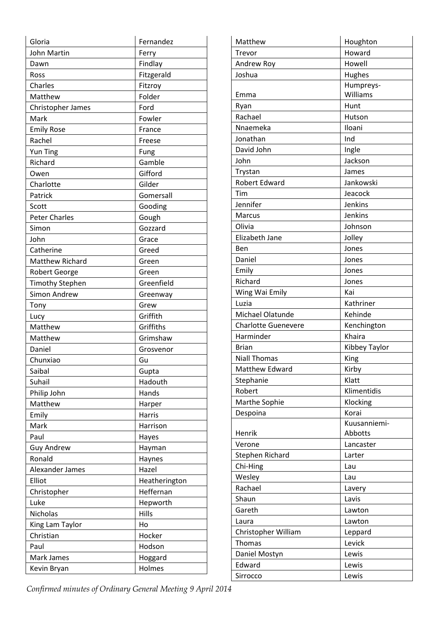| Gloria                 | Fernandez     |
|------------------------|---------------|
| John Martin            | Ferry         |
| Dawn                   | Findlay       |
| Ross                   | Fitzgerald    |
| Charles                | Fitzroy       |
| Matthew                | Folder        |
| Christopher James      | Ford          |
| Mark                   | Fowler        |
| <b>Emily Rose</b>      | France        |
| Rachel                 | Freese        |
| Yun Ting               | Fung          |
| Richard                | Gamble        |
| Owen                   | Gifford       |
| Charlotte              | Gilder        |
| Patrick                | Gomersall     |
| Scott                  | Gooding       |
| <b>Peter Charles</b>   | Gough         |
| Simon                  | Gozzard       |
| John                   | Grace         |
| Catherine              | Greed         |
| Matthew Richard        | Green         |
| <b>Robert George</b>   | Green         |
| <b>Timothy Stephen</b> | Greenfield    |
| Simon Andrew           | Greenway      |
| Tony                   | Grew          |
| Lucy                   | Griffith      |
| Matthew                | Griffiths     |
| Matthew                | Grimshaw      |
| Daniel                 | Grosvenor     |
| Chunxiao               | Gu            |
| Saibal                 | Gupta         |
| Suhail                 | Hadouth       |
| Philip John            | Hands         |
| Matthew                | Harper        |
| Emily                  | Harris        |
| Mark                   | Harrison      |
| Paul                   | Hayes         |
| <b>Guy Andrew</b>      | Hayman        |
| Ronald                 | Haynes        |
| Alexander James        | Hazel         |
| Elliot                 | Heatherington |
| Christopher            | Heffernan     |
| Luke                   | Hepworth      |
| Nicholas               | Hills         |
| King Lam Taylor        | Ho            |
| Christian              | Hocker        |
| Paul                   | Hodson        |
|                        |               |
| Mark James             | Hoggard       |
| Kevin Bryan            | Holmes        |

| Matthew                    | Houghton      |
|----------------------------|---------------|
| Trevor                     | Howard        |
| Andrew Roy                 | Howell        |
| Joshua                     | Hughes        |
|                            | Humpreys-     |
| Emma                       | Williams      |
| Ryan                       | Hunt          |
| Rachael                    | Hutson        |
| Nnaemeka                   | Iloani        |
| Jonathan                   | Ind           |
| David John                 | Ingle         |
| John                       | Jackson       |
| Trystan                    | James         |
| <b>Robert Edward</b>       | Jankowski     |
| Tim                        | Jeacock       |
| Jennifer                   | Jenkins       |
| <b>Marcus</b>              | Jenkins       |
| Olivia                     | Johnson       |
| Elizabeth Jane             | Jolley        |
| Ben                        | Jones         |
| Daniel                     | Jones         |
| Emily                      | Jones         |
| Richard                    | Jones         |
| Wing Wai Emily             | Kai           |
| Luzia                      | Kathriner     |
| Michael Olatunde           | Kehinde       |
| <b>Charlotte Guenevere</b> | Kenchington   |
| Harminder                  | Khaira        |
| <b>Brian</b>               | Kibbey Taylor |
| <b>Niall Thomas</b>        | King          |
| Matthew Edward             | Kirby         |
| Stephanie                  | Klatt         |
| Robert                     | Klimentidis   |
| Marthe Sophie              | Klocking      |
| Despoina                   | Korai         |
|                            | Kuusanniemi-  |
| Henrik                     | Abbotts       |
| Verone                     | Lancaster     |
| Stephen Richard            | Larter        |
| Chi-Hing                   | Lau           |
| Wesley                     | Lau           |
| Rachael                    | Lavery        |
| Shaun                      | Lavis         |
| Gareth                     | Lawton        |
| Laura                      | Lawton        |
| Christopher William        | Leppard       |
| <b>Thomas</b>              | Levick        |
| Daniel Mostyn              | Lewis         |
| Edward                     | Lewis         |
| Sirrocco                   | Lewis         |

*Confirmed minutes of Ordinary General Meeting 9 April 2014*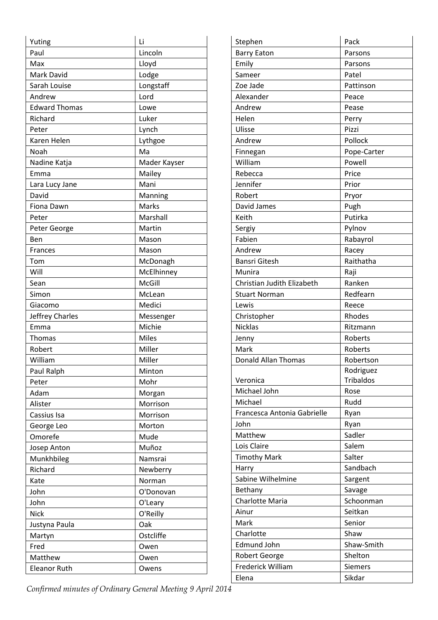| Yuting               | Li           |
|----------------------|--------------|
| Paul                 | Lincoln      |
| Max                  | Lloyd        |
| Mark David           | Lodge        |
| Sarah Louise         | Longstaff    |
| Andrew               | Lord         |
| <b>Edward Thomas</b> | Lowe         |
| Richard              | Luker        |
| Peter                | Lynch        |
| Karen Helen          | Lythgoe      |
| Noah                 | Ma           |
| Nadine Katja         | Mader Kayser |
| Emma                 | Mailey       |
| Lara Lucy Jane       | Mani         |
| David                | Manning      |
| Fiona Dawn           | Marks        |
| Peter                | Marshall     |
| Peter George         | Martin       |
| Ben                  | Mason        |
| <b>Frances</b>       | Mason        |
| Tom                  | McDonagh     |
| Will                 | McElhinney   |
| Sean                 | McGill       |
| Simon                | McLean       |
| Giacomo              | Medici       |
| Jeffrey Charles      | Messenger    |
| Emma                 | Michie       |
| Thomas               | <b>Miles</b> |
| Robert               | Miller       |
| William              | Miller       |
| Paul Ralph           | Minton       |
| Peter                | Mohr         |
| Adam                 | Morgan       |
| Alister              | Morrison     |
| Cassius Isa          | Morrison     |
| George Leo           | Morton       |
| Omorefe              | Mude         |
| Josep Anton          | Muñoz        |
| Munkhbileg           | Namsrai      |
| Richard              | Newberry     |
| Kate                 | Norman       |
| John                 | O'Donovan    |
| John                 | O'Leary      |
| <b>Nick</b>          | O'Reilly     |
| Justyna Paula        | Oak          |
| Martyn               | Ostcliffe    |
| Fred                 | Owen         |
| Matthew              | Owen         |
| <b>Eleanor Ruth</b>  | Owens        |

| <b>Barry Eaton</b><br>Parsons<br>Emily<br>Parsons<br>Sameer<br>Patel<br>Zoe Jade<br>Pattinson<br>Alexander<br>Peace<br>Andrew<br>Pease<br>Helen<br>Perry<br>Ulisse<br>Pizzi<br>Pollock<br>Andrew<br>Pope-Carter<br>Finnegan<br>William<br>Powell<br>Rebecca<br>Price<br>Jennifer<br>Prior<br>Robert<br>Pryor<br>David James<br>Pugh<br>Putirka<br>Keith<br>Pylnov<br>Sergiy<br>Fabien<br>Rabayrol<br>Andrew<br>Racey<br>Raithatha<br><b>Bansri Gitesh</b><br>Munira<br>Raji<br>Ranken<br>Christian Judith Elizabeth<br>Redfearn<br><b>Stuart Norman</b><br>Lewis<br>Reece<br>Christopher<br>Rhodes<br><b>Nicklas</b><br>Ritzmann<br>Roberts<br>Jenny<br>Mark<br>Roberts<br><b>Donald Allan Thomas</b><br>Robertson<br>Rodriguez<br><b>Tribaldos</b><br>Veronica<br>Michael John<br>Rose<br>Rudd<br>Michael<br>Francesca Antonia Gabrielle<br>Ryan<br>John<br>Ryan<br>Sadler<br>Matthew<br>Salem<br>Lois Claire<br>Salter<br><b>Timothy Mark</b><br>Sandbach<br>Harry<br>Sabine Wilhelmine<br>Sargent<br>Bethany<br>Savage<br>Charlotte Maria<br>Schoonman<br>Ainur<br>Seitkan<br>Senior<br>Mark<br>Charlotte<br>Shaw<br><b>Edmund John</b><br>Shaw-Smith<br>Shelton<br><b>Robert George</b><br>Frederick William<br><b>Siemers</b><br>Sikdar<br>Elena | Stephen | Pack |
|-------------------------------------------------------------------------------------------------------------------------------------------------------------------------------------------------------------------------------------------------------------------------------------------------------------------------------------------------------------------------------------------------------------------------------------------------------------------------------------------------------------------------------------------------------------------------------------------------------------------------------------------------------------------------------------------------------------------------------------------------------------------------------------------------------------------------------------------------------------------------------------------------------------------------------------------------------------------------------------------------------------------------------------------------------------------------------------------------------------------------------------------------------------------------------------------------------------------------------------------------------|---------|------|
|                                                                                                                                                                                                                                                                                                                                                                                                                                                                                                                                                                                                                                                                                                                                                                                                                                                                                                                                                                                                                                                                                                                                                                                                                                                       |         |      |
|                                                                                                                                                                                                                                                                                                                                                                                                                                                                                                                                                                                                                                                                                                                                                                                                                                                                                                                                                                                                                                                                                                                                                                                                                                                       |         |      |
|                                                                                                                                                                                                                                                                                                                                                                                                                                                                                                                                                                                                                                                                                                                                                                                                                                                                                                                                                                                                                                                                                                                                                                                                                                                       |         |      |
|                                                                                                                                                                                                                                                                                                                                                                                                                                                                                                                                                                                                                                                                                                                                                                                                                                                                                                                                                                                                                                                                                                                                                                                                                                                       |         |      |
|                                                                                                                                                                                                                                                                                                                                                                                                                                                                                                                                                                                                                                                                                                                                                                                                                                                                                                                                                                                                                                                                                                                                                                                                                                                       |         |      |
|                                                                                                                                                                                                                                                                                                                                                                                                                                                                                                                                                                                                                                                                                                                                                                                                                                                                                                                                                                                                                                                                                                                                                                                                                                                       |         |      |
|                                                                                                                                                                                                                                                                                                                                                                                                                                                                                                                                                                                                                                                                                                                                                                                                                                                                                                                                                                                                                                                                                                                                                                                                                                                       |         |      |
|                                                                                                                                                                                                                                                                                                                                                                                                                                                                                                                                                                                                                                                                                                                                                                                                                                                                                                                                                                                                                                                                                                                                                                                                                                                       |         |      |
|                                                                                                                                                                                                                                                                                                                                                                                                                                                                                                                                                                                                                                                                                                                                                                                                                                                                                                                                                                                                                                                                                                                                                                                                                                                       |         |      |
|                                                                                                                                                                                                                                                                                                                                                                                                                                                                                                                                                                                                                                                                                                                                                                                                                                                                                                                                                                                                                                                                                                                                                                                                                                                       |         |      |
|                                                                                                                                                                                                                                                                                                                                                                                                                                                                                                                                                                                                                                                                                                                                                                                                                                                                                                                                                                                                                                                                                                                                                                                                                                                       |         |      |
|                                                                                                                                                                                                                                                                                                                                                                                                                                                                                                                                                                                                                                                                                                                                                                                                                                                                                                                                                                                                                                                                                                                                                                                                                                                       |         |      |
|                                                                                                                                                                                                                                                                                                                                                                                                                                                                                                                                                                                                                                                                                                                                                                                                                                                                                                                                                                                                                                                                                                                                                                                                                                                       |         |      |
|                                                                                                                                                                                                                                                                                                                                                                                                                                                                                                                                                                                                                                                                                                                                                                                                                                                                                                                                                                                                                                                                                                                                                                                                                                                       |         |      |
|                                                                                                                                                                                                                                                                                                                                                                                                                                                                                                                                                                                                                                                                                                                                                                                                                                                                                                                                                                                                                                                                                                                                                                                                                                                       |         |      |
|                                                                                                                                                                                                                                                                                                                                                                                                                                                                                                                                                                                                                                                                                                                                                                                                                                                                                                                                                                                                                                                                                                                                                                                                                                                       |         |      |
|                                                                                                                                                                                                                                                                                                                                                                                                                                                                                                                                                                                                                                                                                                                                                                                                                                                                                                                                                                                                                                                                                                                                                                                                                                                       |         |      |
|                                                                                                                                                                                                                                                                                                                                                                                                                                                                                                                                                                                                                                                                                                                                                                                                                                                                                                                                                                                                                                                                                                                                                                                                                                                       |         |      |
|                                                                                                                                                                                                                                                                                                                                                                                                                                                                                                                                                                                                                                                                                                                                                                                                                                                                                                                                                                                                                                                                                                                                                                                                                                                       |         |      |
|                                                                                                                                                                                                                                                                                                                                                                                                                                                                                                                                                                                                                                                                                                                                                                                                                                                                                                                                                                                                                                                                                                                                                                                                                                                       |         |      |
|                                                                                                                                                                                                                                                                                                                                                                                                                                                                                                                                                                                                                                                                                                                                                                                                                                                                                                                                                                                                                                                                                                                                                                                                                                                       |         |      |
|                                                                                                                                                                                                                                                                                                                                                                                                                                                                                                                                                                                                                                                                                                                                                                                                                                                                                                                                                                                                                                                                                                                                                                                                                                                       |         |      |
|                                                                                                                                                                                                                                                                                                                                                                                                                                                                                                                                                                                                                                                                                                                                                                                                                                                                                                                                                                                                                                                                                                                                                                                                                                                       |         |      |
|                                                                                                                                                                                                                                                                                                                                                                                                                                                                                                                                                                                                                                                                                                                                                                                                                                                                                                                                                                                                                                                                                                                                                                                                                                                       |         |      |
|                                                                                                                                                                                                                                                                                                                                                                                                                                                                                                                                                                                                                                                                                                                                                                                                                                                                                                                                                                                                                                                                                                                                                                                                                                                       |         |      |
|                                                                                                                                                                                                                                                                                                                                                                                                                                                                                                                                                                                                                                                                                                                                                                                                                                                                                                                                                                                                                                                                                                                                                                                                                                                       |         |      |
|                                                                                                                                                                                                                                                                                                                                                                                                                                                                                                                                                                                                                                                                                                                                                                                                                                                                                                                                                                                                                                                                                                                                                                                                                                                       |         |      |
|                                                                                                                                                                                                                                                                                                                                                                                                                                                                                                                                                                                                                                                                                                                                                                                                                                                                                                                                                                                                                                                                                                                                                                                                                                                       |         |      |
|                                                                                                                                                                                                                                                                                                                                                                                                                                                                                                                                                                                                                                                                                                                                                                                                                                                                                                                                                                                                                                                                                                                                                                                                                                                       |         |      |
|                                                                                                                                                                                                                                                                                                                                                                                                                                                                                                                                                                                                                                                                                                                                                                                                                                                                                                                                                                                                                                                                                                                                                                                                                                                       |         |      |
|                                                                                                                                                                                                                                                                                                                                                                                                                                                                                                                                                                                                                                                                                                                                                                                                                                                                                                                                                                                                                                                                                                                                                                                                                                                       |         |      |
|                                                                                                                                                                                                                                                                                                                                                                                                                                                                                                                                                                                                                                                                                                                                                                                                                                                                                                                                                                                                                                                                                                                                                                                                                                                       |         |      |
|                                                                                                                                                                                                                                                                                                                                                                                                                                                                                                                                                                                                                                                                                                                                                                                                                                                                                                                                                                                                                                                                                                                                                                                                                                                       |         |      |
|                                                                                                                                                                                                                                                                                                                                                                                                                                                                                                                                                                                                                                                                                                                                                                                                                                                                                                                                                                                                                                                                                                                                                                                                                                                       |         |      |
|                                                                                                                                                                                                                                                                                                                                                                                                                                                                                                                                                                                                                                                                                                                                                                                                                                                                                                                                                                                                                                                                                                                                                                                                                                                       |         |      |
|                                                                                                                                                                                                                                                                                                                                                                                                                                                                                                                                                                                                                                                                                                                                                                                                                                                                                                                                                                                                                                                                                                                                                                                                                                                       |         |      |
|                                                                                                                                                                                                                                                                                                                                                                                                                                                                                                                                                                                                                                                                                                                                                                                                                                                                                                                                                                                                                                                                                                                                                                                                                                                       |         |      |
|                                                                                                                                                                                                                                                                                                                                                                                                                                                                                                                                                                                                                                                                                                                                                                                                                                                                                                                                                                                                                                                                                                                                                                                                                                                       |         |      |
|                                                                                                                                                                                                                                                                                                                                                                                                                                                                                                                                                                                                                                                                                                                                                                                                                                                                                                                                                                                                                                                                                                                                                                                                                                                       |         |      |
|                                                                                                                                                                                                                                                                                                                                                                                                                                                                                                                                                                                                                                                                                                                                                                                                                                                                                                                                                                                                                                                                                                                                                                                                                                                       |         |      |
|                                                                                                                                                                                                                                                                                                                                                                                                                                                                                                                                                                                                                                                                                                                                                                                                                                                                                                                                                                                                                                                                                                                                                                                                                                                       |         |      |
|                                                                                                                                                                                                                                                                                                                                                                                                                                                                                                                                                                                                                                                                                                                                                                                                                                                                                                                                                                                                                                                                                                                                                                                                                                                       |         |      |
|                                                                                                                                                                                                                                                                                                                                                                                                                                                                                                                                                                                                                                                                                                                                                                                                                                                                                                                                                                                                                                                                                                                                                                                                                                                       |         |      |
|                                                                                                                                                                                                                                                                                                                                                                                                                                                                                                                                                                                                                                                                                                                                                                                                                                                                                                                                                                                                                                                                                                                                                                                                                                                       |         |      |
|                                                                                                                                                                                                                                                                                                                                                                                                                                                                                                                                                                                                                                                                                                                                                                                                                                                                                                                                                                                                                                                                                                                                                                                                                                                       |         |      |
|                                                                                                                                                                                                                                                                                                                                                                                                                                                                                                                                                                                                                                                                                                                                                                                                                                                                                                                                                                                                                                                                                                                                                                                                                                                       |         |      |
|                                                                                                                                                                                                                                                                                                                                                                                                                                                                                                                                                                                                                                                                                                                                                                                                                                                                                                                                                                                                                                                                                                                                                                                                                                                       |         |      |
|                                                                                                                                                                                                                                                                                                                                                                                                                                                                                                                                                                                                                                                                                                                                                                                                                                                                                                                                                                                                                                                                                                                                                                                                                                                       |         |      |
|                                                                                                                                                                                                                                                                                                                                                                                                                                                                                                                                                                                                                                                                                                                                                                                                                                                                                                                                                                                                                                                                                                                                                                                                                                                       |         |      |

*Confirmed minutes of Ordinary General Meeting 9 April 2014*